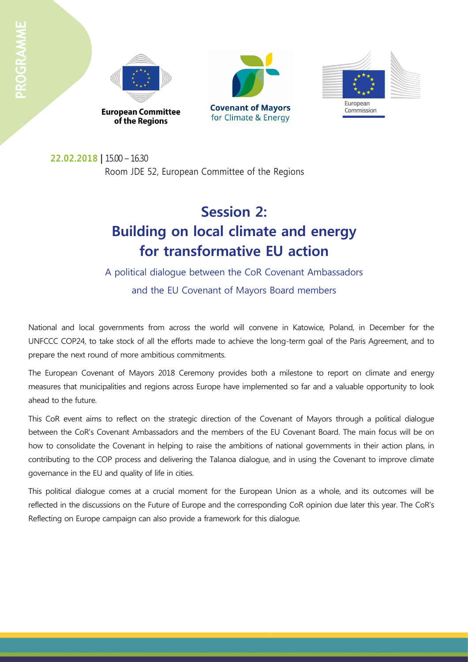





**22.02.2018 |** 15.00 – 16.30 Room JDE 52, European Committee of the Regions

# **Session 2: Building on local climate and energy for transformative EU action**

A political dialogue between the CoR Covenant Ambassadors and the EU Covenant of Mayors Board members

National and local governments from across the world will convene in Katowice, Poland, in December for the UNFCCC COP24, to take stock of all the efforts made to achieve the long-term goal of the Paris Agreement, and to prepare the next round of more ambitious commitments.

The European Covenant of Mayors 2018 Ceremony provides both a milestone to report on climate and energy measures that municipalities and regions across Europe have implemented so far and a valuable opportunity to look ahead to the future.

This CoR event aims to reflect on the strategic direction of the Covenant of Mayors through a political dialogue between the CoR's Covenant Ambassadors and the members of the EU Covenant Board. The main focus will be on how to consolidate the Covenant in helping to raise the ambitions of national governments in their action plans, in contributing to the COP process and delivering the Talanoa dialogue, and in using the Covenant to improve climate governance in the EU and quality of life in cities.

This political dialogue comes at a crucial moment for the European Union as a whole, and its outcomes will be reflected in the discussions on the Future of Europe and the corresponding CoR opinion due later this year. The CoR's Reflecting on Europe campaign can also provide a framework for this dialogue.